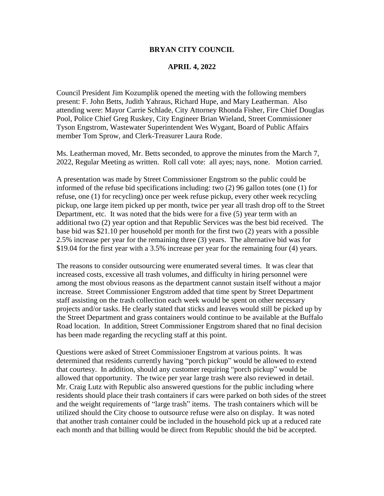### **BRYAN CITY COUNCIL**

### **APRIL 4, 2022**

Council President Jim Kozumplik opened the meeting with the following members present: F. John Betts, Judith Yahraus, Richard Hupe, and Mary Leatherman. Also attending were: Mayor Carrie Schlade, City Attorney Rhonda Fisher, Fire Chief Douglas Pool, Police Chief Greg Ruskey, City Engineer Brian Wieland, Street Commissioner Tyson Engstrom, Wastewater Superintendent Wes Wygant, Board of Public Affairs member Tom Sprow, and Clerk-Treasurer Laura Rode.

Ms. Leatherman moved, Mr. Betts seconded, to approve the minutes from the March 7, 2022, Regular Meeting as written. Roll call vote: all ayes; nays, none. Motion carried.

A presentation was made by Street Commissioner Engstrom so the public could be informed of the refuse bid specifications including: two (2) 96 gallon totes (one (1) for refuse, one (1) for recycling) once per week refuse pickup, every other week recycling pickup, one large item picked up per month, twice per year all trash drop off to the Street Department, etc. It was noted that the bids were for a five (5) year term with an additional two (2) year option and that Republic Services was the best bid received. The base bid was \$21.10 per household per month for the first two (2) years with a possible 2.5% increase per year for the remaining three (3) years. The alternative bid was for \$19.04 for the first year with a 3.5% increase per year for the remaining four (4) years.

The reasons to consider outsourcing were enumerated several times. It was clear that increased costs, excessive all trash volumes, and difficulty in hiring personnel were among the most obvious reasons as the department cannot sustain itself without a major increase. Street Commissioner Engstrom added that time spent by Street Department staff assisting on the trash collection each week would be spent on other necessary projects and/or tasks. He clearly stated that sticks and leaves would still be picked up by the Street Department and grass containers would continue to be available at the Buffalo Road location. In addition, Street Commissioner Engstrom shared that no final decision has been made regarding the recycling staff at this point.

Questions were asked of Street Commissioner Engstrom at various points. It was determined that residents currently having "porch pickup" would be allowed to extend that courtesy. In addition, should any customer requiring "porch pickup" would be allowed that opportunity. The twice per year large trash were also reviewed in detail. Mr. Craig Lutz with Republic also answered questions for the public including where residents should place their trash containers if cars were parked on both sides of the street and the weight requirements of "large trash" items. The trash containers which will be utilized should the City choose to outsource refuse were also on display. It was noted that another trash container could be included in the household pick up at a reduced rate each month and that billing would be direct from Republic should the bid be accepted.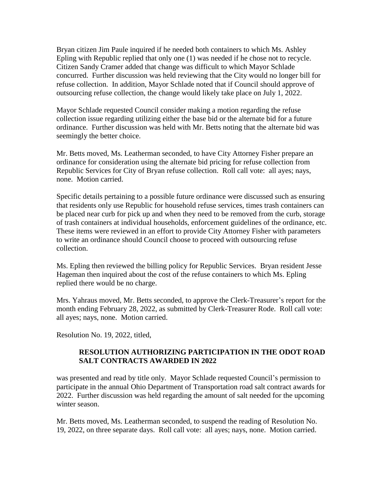Bryan citizen Jim Paule inquired if he needed both containers to which Ms. Ashley Epling with Republic replied that only one (1) was needed if he chose not to recycle. Citizen Sandy Cramer added that change was difficult to which Mayor Schlade concurred. Further discussion was held reviewing that the City would no longer bill for refuse collection. In addition, Mayor Schlade noted that if Council should approve of outsourcing refuse collection, the change would likely take place on July 1, 2022.

Mayor Schlade requested Council consider making a motion regarding the refuse collection issue regarding utilizing either the base bid or the alternate bid for a future ordinance. Further discussion was held with Mr. Betts noting that the alternate bid was seemingly the better choice.

Mr. Betts moved, Ms. Leatherman seconded, to have City Attorney Fisher prepare an ordinance for consideration using the alternate bid pricing for refuse collection from Republic Services for City of Bryan refuse collection. Roll call vote: all ayes; nays, none. Motion carried.

Specific details pertaining to a possible future ordinance were discussed such as ensuring that residents only use Republic for household refuse services, times trash containers can be placed near curb for pick up and when they need to be removed from the curb, storage of trash containers at individual households, enforcement guidelines of the ordinance, etc. These items were reviewed in an effort to provide City Attorney Fisher with parameters to write an ordinance should Council choose to proceed with outsourcing refuse collection.

Ms. Epling then reviewed the billing policy for Republic Services. Bryan resident Jesse Hageman then inquired about the cost of the refuse containers to which Ms. Epling replied there would be no charge.

Mrs. Yahraus moved, Mr. Betts seconded, to approve the Clerk-Treasurer's report for the month ending February 28, 2022, as submitted by Clerk-Treasurer Rode. Roll call vote: all ayes; nays, none. Motion carried.

Resolution No. 19, 2022, titled,

## **RESOLUTION AUTHORIZING PARTICIPATION IN THE ODOT ROAD SALT CONTRACTS AWARDED IN 2022**

was presented and read by title only. Mayor Schlade requested Council's permission to participate in the annual Ohio Department of Transportation road salt contract awards for 2022. Further discussion was held regarding the amount of salt needed for the upcoming winter season.

Mr. Betts moved, Ms. Leatherman seconded, to suspend the reading of Resolution No. 19, 2022, on three separate days. Roll call vote: all ayes; nays, none. Motion carried.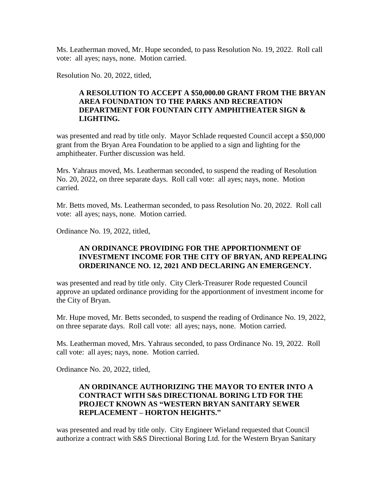Ms. Leatherman moved, Mr. Hupe seconded, to pass Resolution No. 19, 2022. Roll call vote: all ayes; nays, none. Motion carried.

Resolution No. 20, 2022, titled,

# **A RESOLUTION TO ACCEPT A \$50,000.00 GRANT FROM THE BRYAN AREA FOUNDATION TO THE PARKS AND RECREATION DEPARTMENT FOR FOUNTAIN CITY AMPHITHEATER SIGN & LIGHTING.**

was presented and read by title only. Mayor Schlade requested Council accept a \$50,000 grant from the Bryan Area Foundation to be applied to a sign and lighting for the amphitheater. Further discussion was held.

Mrs. Yahraus moved, Ms. Leatherman seconded, to suspend the reading of Resolution No. 20, 2022, on three separate days. Roll call vote: all ayes; nays, none. Motion carried.

Mr. Betts moved, Ms. Leatherman seconded, to pass Resolution No. 20, 2022. Roll call vote: all ayes; nays, none. Motion carried.

Ordinance No. 19, 2022, titled,

## **AN ORDINANCE PROVIDING FOR THE APPORTIONMENT OF INVESTMENT INCOME FOR THE CITY OF BRYAN, AND REPEALING ORDERINANCE NO. 12, 2021 AND DECLARING AN EMERGENCY.**

was presented and read by title only. City Clerk-Treasurer Rode requested Council approve an updated ordinance providing for the apportionment of investment income for the City of Bryan.

Mr. Hupe moved, Mr. Betts seconded, to suspend the reading of Ordinance No. 19, 2022, on three separate days. Roll call vote: all ayes; nays, none. Motion carried.

Ms. Leatherman moved, Mrs. Yahraus seconded, to pass Ordinance No. 19, 2022. Roll call vote: all ayes; nays, none. Motion carried.

Ordinance No. 20, 2022, titled,

## **AN ORDINANCE AUTHORIZING THE MAYOR TO ENTER INTO A CONTRACT WITH S&S DIRECTIONAL BORING LTD FOR THE PROJECT KNOWN AS "WESTERN BRYAN SANITARY SEWER REPLACEMENT – HORTON HEIGHTS."**

was presented and read by title only. City Engineer Wieland requested that Council authorize a contract with S&S Directional Boring Ltd. for the Western Bryan Sanitary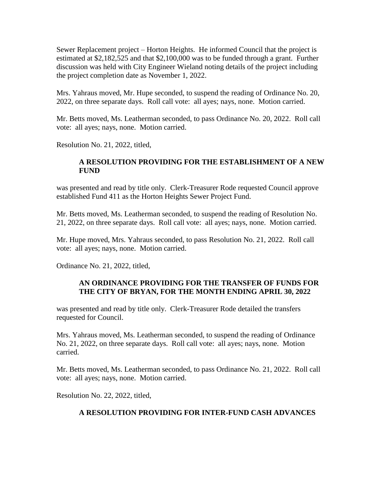Sewer Replacement project – Horton Heights. He informed Council that the project is estimated at \$2,182,525 and that \$2,100,000 was to be funded through a grant. Further discussion was held with City Engineer Wieland noting details of the project including the project completion date as November 1, 2022.

Mrs. Yahraus moved, Mr. Hupe seconded, to suspend the reading of Ordinance No. 20, 2022, on three separate days. Roll call vote: all ayes; nays, none. Motion carried.

Mr. Betts moved, Ms. Leatherman seconded, to pass Ordinance No. 20, 2022. Roll call vote: all ayes; nays, none. Motion carried.

Resolution No. 21, 2022, titled,

# **A RESOLUTION PROVIDING FOR THE ESTABLISHMENT OF A NEW FUND**

was presented and read by title only. Clerk-Treasurer Rode requested Council approve established Fund 411 as the Horton Heights Sewer Project Fund.

Mr. Betts moved, Ms. Leatherman seconded, to suspend the reading of Resolution No. 21, 2022, on three separate days. Roll call vote: all ayes; nays, none. Motion carried.

Mr. Hupe moved, Mrs. Yahraus seconded, to pass Resolution No. 21, 2022. Roll call vote: all ayes; nays, none. Motion carried.

Ordinance No. 21, 2022, titled,

## **AN ORDINANCE PROVIDING FOR THE TRANSFER OF FUNDS FOR THE CITY OF BRYAN, FOR THE MONTH ENDING APRIL 30, 2022**

was presented and read by title only. Clerk-Treasurer Rode detailed the transfers requested for Council.

Mrs. Yahraus moved, Ms. Leatherman seconded, to suspend the reading of Ordinance No. 21, 2022, on three separate days. Roll call vote: all ayes; nays, none. Motion carried.

Mr. Betts moved, Ms. Leatherman seconded, to pass Ordinance No. 21, 2022. Roll call vote: all ayes; nays, none. Motion carried.

Resolution No. 22, 2022, titled,

# **A RESOLUTION PROVIDING FOR INTER-FUND CASH ADVANCES**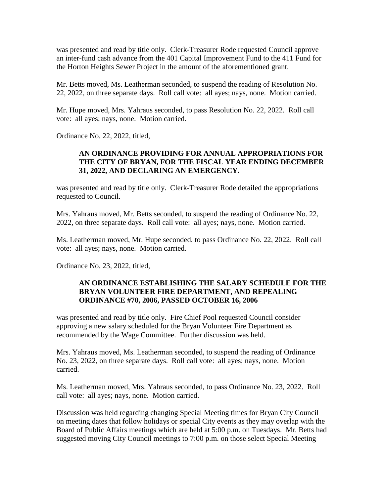was presented and read by title only. Clerk-Treasurer Rode requested Council approve an inter-fund cash advance from the 401 Capital Improvement Fund to the 411 Fund for the Horton Heights Sewer Project in the amount of the aforementioned grant.

Mr. Betts moved, Ms. Leatherman seconded, to suspend the reading of Resolution No. 22, 2022, on three separate days. Roll call vote: all ayes; nays, none. Motion carried.

Mr. Hupe moved, Mrs. Yahraus seconded, to pass Resolution No. 22, 2022. Roll call vote: all ayes; nays, none. Motion carried.

Ordinance No. 22, 2022, titled,

## **AN ORDINANCE PROVIDING FOR ANNUAL APPROPRIATIONS FOR THE CITY OF BRYAN, FOR THE FISCAL YEAR ENDING DECEMBER 31, 2022, AND DECLARING AN EMERGENCY.**

was presented and read by title only. Clerk-Treasurer Rode detailed the appropriations requested to Council.

Mrs. Yahraus moved, Mr. Betts seconded, to suspend the reading of Ordinance No. 22, 2022, on three separate days. Roll call vote: all ayes; nays, none. Motion carried.

Ms. Leatherman moved, Mr. Hupe seconded, to pass Ordinance No. 22, 2022. Roll call vote: all ayes; nays, none. Motion carried.

Ordinance No. 23, 2022, titled,

## **AN ORDINANCE ESTABLISHING THE SALARY SCHEDULE FOR THE BRYAN VOLUNTEER FIRE DEPARTMENT, AND REPEALING ORDINANCE #70, 2006, PASSED OCTOBER 16, 2006**

was presented and read by title only. Fire Chief Pool requested Council consider approving a new salary scheduled for the Bryan Volunteer Fire Department as recommended by the Wage Committee. Further discussion was held.

Mrs. Yahraus moved, Ms. Leatherman seconded, to suspend the reading of Ordinance No. 23, 2022, on three separate days. Roll call vote: all ayes; nays, none. Motion carried.

Ms. Leatherman moved, Mrs. Yahraus seconded, to pass Ordinance No. 23, 2022. Roll call vote: all ayes; nays, none. Motion carried.

Discussion was held regarding changing Special Meeting times for Bryan City Council on meeting dates that follow holidays or special City events as they may overlap with the Board of Public Affairs meetings which are held at 5:00 p.m. on Tuesdays. Mr. Betts had suggested moving City Council meetings to 7:00 p.m. on those select Special Meeting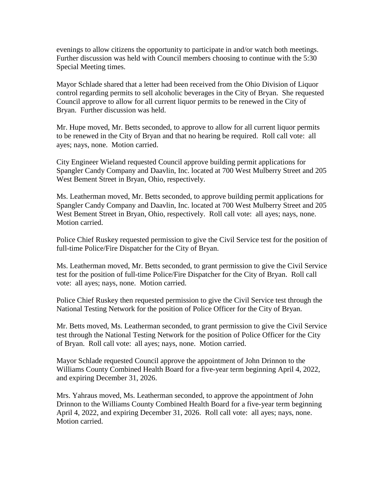evenings to allow citizens the opportunity to participate in and/or watch both meetings. Further discussion was held with Council members choosing to continue with the 5:30 Special Meeting times.

Mayor Schlade shared that a letter had been received from the Ohio Division of Liquor control regarding permits to sell alcoholic beverages in the City of Bryan. She requested Council approve to allow for all current liquor permits to be renewed in the City of Bryan. Further discussion was held.

Mr. Hupe moved, Mr. Betts seconded, to approve to allow for all current liquor permits to be renewed in the City of Bryan and that no hearing be required. Roll call vote: all ayes; nays, none. Motion carried.

City Engineer Wieland requested Council approve building permit applications for Spangler Candy Company and Daavlin, Inc. located at 700 West Mulberry Street and 205 West Bement Street in Bryan, Ohio, respectively.

Ms. Leatherman moved, Mr. Betts seconded, to approve building permit applications for Spangler Candy Company and Daavlin, Inc. located at 700 West Mulberry Street and 205 West Bement Street in Bryan, Ohio, respectively. Roll call vote: all ayes; nays, none. Motion carried.

Police Chief Ruskey requested permission to give the Civil Service test for the position of full-time Police/Fire Dispatcher for the City of Bryan.

Ms. Leatherman moved, Mr. Betts seconded, to grant permission to give the Civil Service test for the position of full-time Police/Fire Dispatcher for the City of Bryan. Roll call vote: all ayes; nays, none. Motion carried.

Police Chief Ruskey then requested permission to give the Civil Service test through the National Testing Network for the position of Police Officer for the City of Bryan.

Mr. Betts moved, Ms. Leatherman seconded, to grant permission to give the Civil Service test through the National Testing Network for the position of Police Officer for the City of Bryan. Roll call vote: all ayes; nays, none. Motion carried.

Mayor Schlade requested Council approve the appointment of John Drinnon to the Williams County Combined Health Board for a five-year term beginning April 4, 2022, and expiring December 31, 2026.

Mrs. Yahraus moved, Ms. Leatherman seconded, to approve the appointment of John Drinnon to the Williams County Combined Health Board for a five-year term beginning April 4, 2022, and expiring December 31, 2026. Roll call vote: all ayes; nays, none. Motion carried.